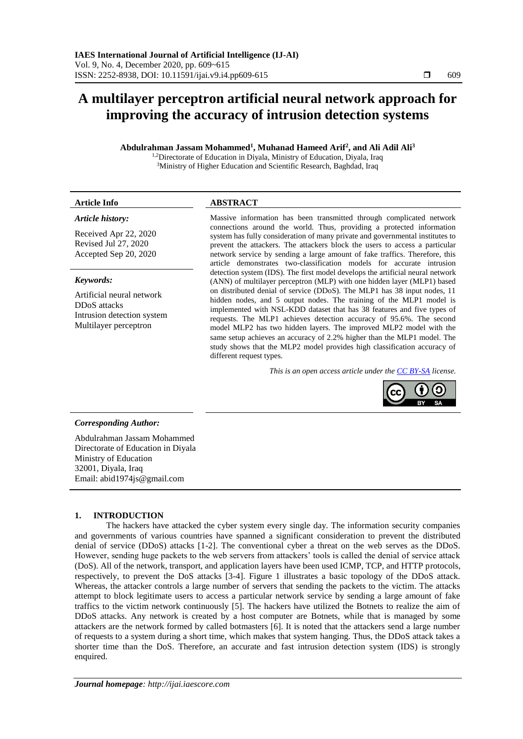# **A multilayer perceptron artificial neural network approach for improving the accuracy of intrusion detection systems**

**Abdulrahman Jassam Mohammed<sup>1</sup> , Muhanad Hameed Arif<sup>2</sup> , and Ali Adil Ali<sup>3</sup>**

<sup>1,2</sup>Directorate of Education in Diyala, Ministry of Education, Diyala, Iraq <sup>3</sup>Ministry of Higher Education and Scientific Research, Baghdad, Iraq

# **Article Info ABSTRACT**

# *Article history:*

Received Apr 22, 2020 Revised Jul 27, 2020 Accepted Sep 20, 2020

#### *Keywords:*

Artificial neural network DDoS attacks Intrusion detection system Multilayer perceptron

Massive information has been transmitted through complicated network connections around the world. Thus, providing a protected information system has fully consideration of many private and governmental institutes to prevent the attackers. The attackers block the users to access a particular network service by sending a large amount of fake traffics. Therefore, this article demonstrates two-classification models for accurate intrusion detection system (IDS). The first model develops the artificial neural network (ANN) of multilayer perceptron (MLP) with one hidden layer (MLP1) based on distributed denial of service (DDoS). The MLP1 has 38 input nodes, 11 hidden nodes, and 5 output nodes. The training of the MLP1 model is implemented with NSL-KDD dataset that has 38 features and five types of requests. The MLP1 achieves detection accuracy of 95.6%. The second model MLP2 has two hidden layers. The improved MLP2 model with the same setup achieves an accuracy of 2.2% higher than the MLP1 model. The study shows that the MLP2 model provides high classification accuracy of different request types.

*This is an open access article under the [CC BY-SA](https://creativecommons.org/licenses/by-sa/4.0/) license.*



# *Corresponding Author:*

Abdulrahman Jassam Mohammed Directorate of Education in Diyala Ministry of Education 32001, Diyala, Iraq Email: abid1974js@gmail.com

# **1. INTRODUCTION**

The hackers have attacked the cyber system every single day. The information security companies and governments of various countries have spanned a significant consideration to prevent the distributed denial of service (DDoS) attacks [1-2]. The conventional cyber a threat on the web serves as the DDoS. However, sending huge packets to the web servers from attackers' tools is called the denial of service attack (DoS). All of the network, transport, and application layers have been used ICMP, TCP, and HTTP protocols, respectively, to prevent the DoS attacks [3-4]. Figure 1 illustrates a basic topology of the DDoS attack. Whereas, the attacker controls a large number of servers that sending the packets to the victim. The attacks attempt to block legitimate users to access a particular network service by sending a large amount of fake traffics to the victim network continuously [5]. The hackers have utilized the Botnets to realize the aim of DDoS attacks. Any network is created by a host computer are Botnets, while that is managed by some attackers are the network formed by called botmasters [6]. It is noted that the attackers send a large number of requests to a system during a short time, which makes that system hanging. Thus, the DDoS attack takes a shorter time than the DoS. Therefore, an accurate and fast intrusion detection system (IDS) is strongly enquired.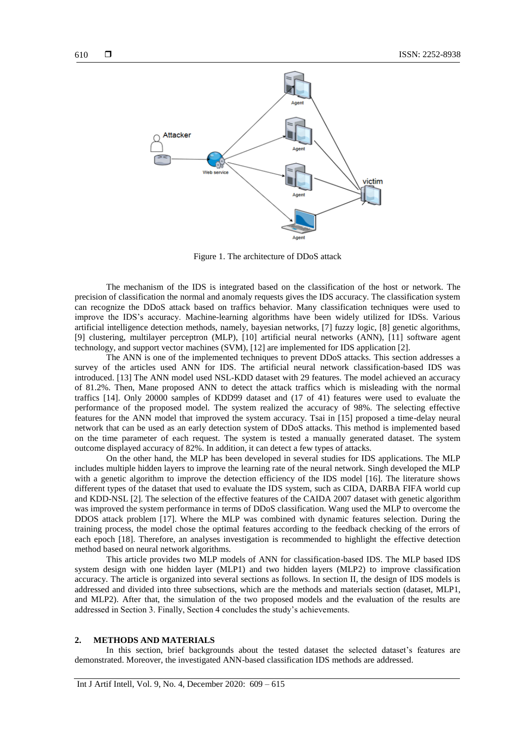

Figure 1. The architecture of DDoS attack

The mechanism of the IDS is integrated based on the classification of the host or network. The precision of classification the normal and anomaly requests gives the IDS accuracy. The classification system can recognize the DDoS attack based on traffics behavior. Many classification techniques were used to improve the IDS's accuracy. Machine-learning algorithms have been widely utilized for IDSs. Various artificial intelligence detection methods, namely, bayesian networks, [7] fuzzy logic, [8] genetic algorithms, [9] clustering, multilayer perceptron (MLP), [10] artificial neural networks (ANN), [11] software agent technology, and support vector machines (SVM), [12] are implemented for IDS application [2].

The ANN is one of the implemented techniques to prevent DDoS attacks. This section addresses a survey of the articles used ANN for IDS. The artificial neural network classification-based IDS was introduced. [13] The ANN model used NSL-KDD dataset with 29 features. The model achieved an accuracy of 81.2%. Then, Mane proposed ANN to detect the attack traffics which is misleading with the normal traffics [14]. Only 20000 samples of KDD99 dataset and (17 of 41) features were used to evaluate the performance of the proposed model. The system realized the accuracy of 98%. The selecting effective features for the ANN model that improved the system accuracy. Tsai in [15] proposed a time-delay neural network that can be used as an early detection system of DDoS attacks. This method is implemented based on the time parameter of each request. The system is tested a manually generated dataset. The system outcome displayed accuracy of 82%. In addition, it can detect a few types of attacks.

On the other hand, the MLP has been developed in several studies for IDS applications. The MLP includes multiple hidden layers to improve the learning rate of the neural network. Singh developed the MLP with a genetic algorithm to improve the detection efficiency of the IDS model [16]. The literature shows different types of the dataset that used to evaluate the IDS system, such as CIDA, DARBA FIFA world cup and KDD-NSL [2]. The selection of the effective features of the CAIDA 2007 dataset with genetic algorithm was improved the system performance in terms of DDoS classification. Wang used the MLP to overcome the DDOS attack problem [17]. Where the MLP was combined with dynamic features selection. During the training process, the model chose the optimal features according to the feedback checking of the errors of each epoch [18]. Therefore, an analyses investigation is recommended to highlight the effective detection method based on neural network algorithms.

This article provides two MLP models of ANN for classification-based IDS. The MLP based IDS system design with one hidden layer (MLP1) and two hidden layers (MLP2) to improve classification accuracy. The article is organized into several sections as follows. In section II, the design of IDS models is addressed and divided into three subsections, which are the methods and materials section (dataset, MLP1, and MLP2). After that, the simulation of the two proposed models and the evaluation of the results are addressed in Section 3. Finally, Section 4 concludes the study's achievements.

### **2. METHODS AND MATERIALS**

In this section, brief backgrounds about the tested dataset the selected dataset's features are demonstrated. Moreover, the investigated ANN-based classification IDS methods are addressed.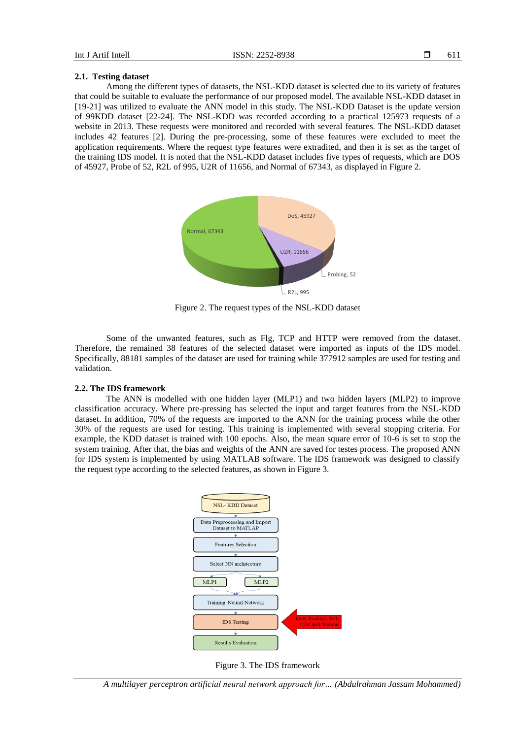### **2.1. Testing dataset**

Among the different types of datasets, the NSL-KDD dataset is selected due to its variety of features that could be suitable to evaluate the performance of our proposed model. The available NSL-KDD dataset in [19-21] was utilized to evaluate the ANN model in this study. The NSL-KDD Dataset is the update version of 99KDD dataset [22-24]. The NSL-KDD was recorded according to a practical 125973 requests of a website in 2013. These requests were monitored and recorded with several features. The NSL-KDD dataset includes 42 features [2]. During the pre-processing, some of these features were excluded to meet the application requirements. Where the request type features were extradited, and then it is set as the target of the training IDS model. It is noted that the NSL-KDD dataset includes five types of requests, which are DOS of 45927, Probe of 52, R2L of 995, U2R of 11656, and Normal of 67343, as displayed in Figure 2.



Figure 2. The request types of the NSL-KDD dataset

Some of the unwanted features, such as Flg, TCP and HTTP were removed from the dataset. Therefore, the remained 38 features of the selected dataset were imported as inputs of the IDS model. Specifically, 88181 samples of the dataset are used for training while 377912 samples are used for testing and validation.

# **2.2. The IDS framework**

The ANN is modelled with one hidden layer (MLP1) and two hidden layers (MLP2) to improve classification accuracy. Where pre-pressing has selected the input and target features from the NSL-KDD dataset. In addition, 70% of the requests are imported to the ANN for the training process while the other 30% of the requests are used for testing. This training is implemented with several stopping criteria. For example, the KDD dataset is trained with 100 epochs. Also, the mean square error of 10-6 is set to stop the system training. After that, the bias and weights of the ANN are saved for testes process. The proposed ANN for IDS system is implemented by using MATLAB software. The IDS framework was designed to classify the request type according to the selected features, as shown in Figure 3.



Figure 3. The IDS framework

*A multilayer perceptron artificial neural network approach for… (Abdulrahman Jassam Mohammed)*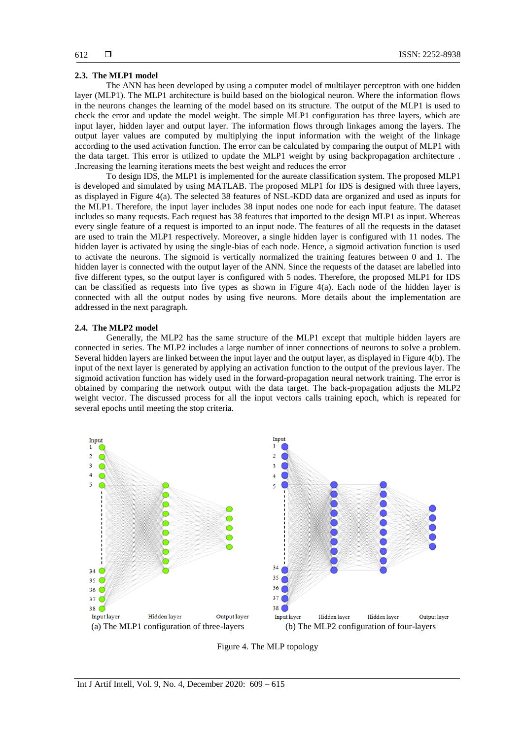### **2.3. The MLP1 model**

The ANN has been developed by using a computer model of multilayer perceptron with one hidden layer (MLP1). The MLP1 architecture is build based on the biological neuron. Where the information flows in the neurons changes the learning of the model based on its structure. The output of the MLP1 is used to check the error and update the model weight. The simple MLP1 configuration has three layers, which are input layer, hidden layer and output layer. The information flows through linkages among the layers. The output layer values are computed by multiplying the input information with the weight of the linkage according to the used activation function. The error can be calculated by comparing the output of MLP1 with the data target. This error is utilized to update the MLP1 weight by using backpropagation architecture . .Increasing the learning iterations meets the best weight and reduces the error

To design IDS, the MLP1 is implemented for the aureate classification system. The proposed MLP1 is developed and simulated by using MATLAB. The proposed MLP1 for IDS is designed with three layers, as displayed in Figure 4(a). The selected 38 features of NSL-KDD data are organized and used as inputs for the MLP1. Therefore, the input layer includes 38 input nodes one node for each input feature. The dataset includes so many requests. Each request has 38 features that imported to the design MLP1 as input. Whereas every single feature of a request is imported to an input node. The features of all the requests in the dataset are used to train the MLP1 respectively. Moreover, a single hidden layer is configured with 11 nodes. The hidden layer is activated by using the single-bias of each node. Hence, a sigmoid activation function is used to activate the neurons. The sigmoid is vertically normalized the training features between 0 and 1. The hidden layer is connected with the output layer of the ANN. Since the requests of the dataset are labelled into five different types, so the output layer is configured with 5 nodes. Therefore, the proposed MLP1 for IDS can be classified as requests into five types as shown in Figure 4(a). Each node of the hidden layer is connected with all the output nodes by using five neurons. More details about the implementation are addressed in the next paragraph.

#### **2.4. The MLP2 model**

Generally, the MLP2 has the same structure of the MLP1 except that multiple hidden layers are connected in series. The MLP2 includes a large number of inner connections of neurons to solve a problem. Several hidden layers are linked between the input layer and the output layer, as displayed in Figure 4(b). The input of the next layer is generated by applying an activation function to the output of the previous layer. The sigmoid activation function has widely used in the forward-propagation neural network training. The error is obtained by comparing the network output with the data target. The back-propagation adjusts the MLP2 weight vector. The discussed process for all the input vectors calls training epoch, which is repeated for several epochs until meeting the stop criteria.



Figure 4. The MLP topology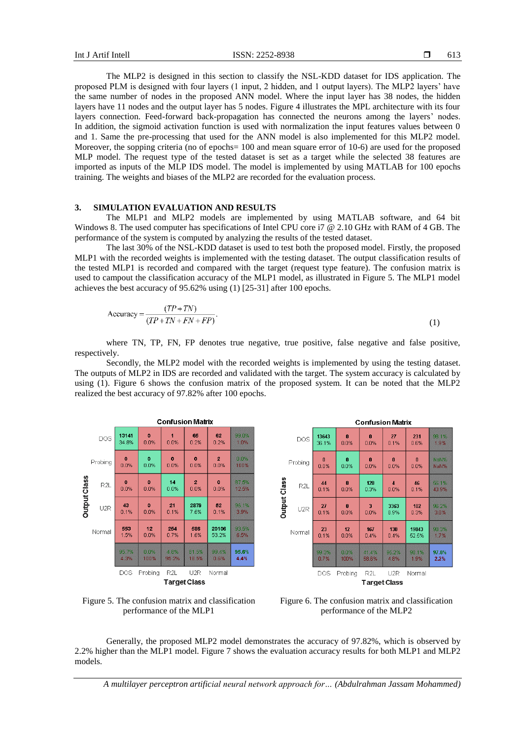The MLP2 is designed in this section to classify the NSL-KDD dataset for IDS application. The proposed PLM is designed with four layers (1 input, 2 hidden, and 1 output layers). The MLP2 layers' have the same number of nodes in the proposed ANN model. Where the input layer has 38 nodes, the hidden layers have 11 nodes and the output layer has 5 nodes. Figure 4 illustrates the MPL architecture with its four layers connection. Feed-forward back-propagation has connected the neurons among the layers' nodes. In addition, the sigmoid activation function is used with normalization the input features values between 0 and 1. Same the pre-processing that used for the ANN model is also implemented for this MLP2 model. Moreover, the sopping criteria (no of epochs= 100 and mean square error of 10-6) are used for the proposed MLP model. The request type of the tested dataset is set as a target while the selected 38 features are imported as inputs of the MLP IDS model. The model is implemented by using MATLAB for 100 epochs training. The weights and biases of the MLP2 are recorded for the evaluation process.

# **3. SIMULATION EVALUATION AND RESULTS**

The MLP1 and MLP2 models are implemented by using MATLAB software, and 64 bit Windows 8. The used computer has specifications of Intel CPU core i7 @ 2.10 GHz with RAM of 4 GB. The performance of the system is computed by analyzing the results of the tested dataset.

The last 30% of the NSL-KDD dataset is used to test both the proposed model. Firstly, the proposed MLP1 with the recorded weights is implemented with the testing dataset. The output classification results of the tested MLP1 is recorded and compared with the target (request type feature). The confusion matrix is used to campout the classification accuracy of the MLP1 model, as illustrated in Figure 5. The MLP1 model achieves the best accuracy of 95.62% using (1) [25-31] after 100 epochs.

$$
Accuracy = \frac{(TP + TN)}{(TP + TN + FN + FP)}.
$$
\n(1)

where TN, TP, FN, FP denotes true negative, true positive, false negative and false positive, respectively.

Secondly, the MLP2 model with the recorded weights is implemented by using the testing dataset. The outputs of MLP2 in IDS are recorded and validated with the target. The system accuracy is calculated by using (1). Figure 6 shows the confusion matrix of the proposed system. It can be noted that the MLP2 realized the best accuracy of 97.82% after 100 epochs.





Figure 6. The confusion matrix and classification performance of the MLP2

Generally, the proposed MLP2 model demonstrates the accuracy of 97.82%, which is observed by 2.2% higher than the MLP1 model. Figure 7 shows the evaluation accuracy results for both MLP1 and MLP2 models.

*A multilayer perceptron artificial neural network approach for… (Abdulrahman Jassam Mohammed)*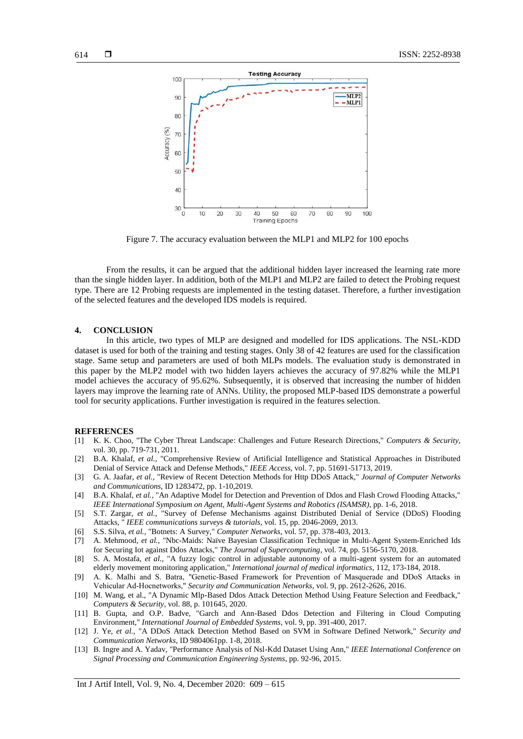

Figure 7. The accuracy evaluation between the MLP1 and MLP2 for 100 epochs

From the results, it can be argued that the additional hidden layer increased the learning rate more than the single hidden layer. In addition, both of the MLP1 and MLP2 are failed to detect the Probing request type. There are 12 Probing requests are implemented in the testing dataset. Therefore, a further investigation of the selected features and the developed IDS models is required.

# **4. CONCLUSION**

In this article, two types of MLP are designed and modelled for IDS applications. The NSL-KDD dataset is used for both of the training and testing stages. Only 38 of 42 features are used for the classification stage. Same setup and parameters are used of both MLPs models. The evaluation study is demonstrated in this paper by the MLP2 model with two hidden layers achieves the accuracy of 97.82% while the MLP1 model achieves the accuracy of 95.62%. Subsequently, it is observed that increasing the number of hidden layers may improve the learning rate of ANNs. Utility, the proposed MLP-based IDS demonstrate a powerful tool for security applications. Further investigation is required in the features selection.

#### **REFERENCES**

- [1] K. K. Choo, "The Cyber Threat Landscape: Challenges and Future Research Directions," *Computers & Security,*  vol. 30, pp. 719-731, 2011.
- [2] B.A. Khalaf, *et al.,* "Comprehensive Review of Artificial Intelligence and Statistical Approaches in Distributed Denial of Service Attack and Defense Methods," *IEEE Access*, vol. 7, pp. 51691-51713, 2019.
- [3] G. A. Jaafar, *et al.,* "Review of Recent Detection Methods for Http DDoS Attack," *Journal of Computer Networks and Communications*, ID 1283472, pp. 1-10,2019.
- [4] B.A. Khalaf, *et al.,* "An Adaptive Model for Detection and Prevention of Ddos and Flash Crowd Flooding Attacks," *IEEE International Symposium on Agent, Multi-Agent Systems and Robotics (ISAMSR)*, pp. 1-6, 2018.
- [5] S.T. Zargar, *et al.,* "Survey of Defense Mechanisms against Distributed Denial of Service (DDoS) Flooding Attacks, " *IEEE communications surveys & tutorials*, vol. 15, pp. 2046-2069, 2013.
- [6] S.S. Silva, *et al.,* "Botnets: A Survey," *Computer Networks*, vol. 57, pp. 378-403, 2013.
- [7] A. Mehmood, *et al.,* "Nbc-Maids: Naïve Bayesian Classification Technique in Multi-Agent System-Enriched Ids for Securing Iot against Ddos Attacks," *The Journal of Supercomputing*, vol. 74, pp. 5156-5170, 2018.
- [8] S. A. Mostafa, *et al.,* "A fuzzy logic control in adjustable autonomy of a multi-agent system for an automated elderly movement monitoring application," *International journal of medical informatics*, 112, 173-184, 2018.
- [9] A. K. Malhi and S. Batra, "Genetic‐Based Framework for Prevention of Masquerade and DDoS Attacks in Vehicular Ad‐Hocnetworks," *Security and Communication Networks*, vol. 9, pp. 2612-2626, 2016.
- [10] M. Wang, et al., "A Dynamic Mlp-Based Ddos Attack Detection Method Using Feature Selection and Feedback," *Computers & Security*, vol. 88, p. 101645, 2020.
- [11] B. Gupta, and O.P. Badve, "Garch and Ann-Based Ddos Detection and Filtering in Cloud Computing Environment," *International Journal of Embedded Systems*, vol. 9, pp. 391-400, 2017.
- [12] J. Ye, *et al.,* "A DDoS Attack Detection Method Based on SVM in Software Defined Network," *Security and Communication Networks*, ID 9804061pp. 1-8, 2018.
- [13] B. Ingre and A. Yadav, "Performance Analysis of Nsl-Kdd Dataset Using Ann," *IEEE International Conference on Signal Processing and Communication Engineering Systems*, pp. 92-96, 2015.